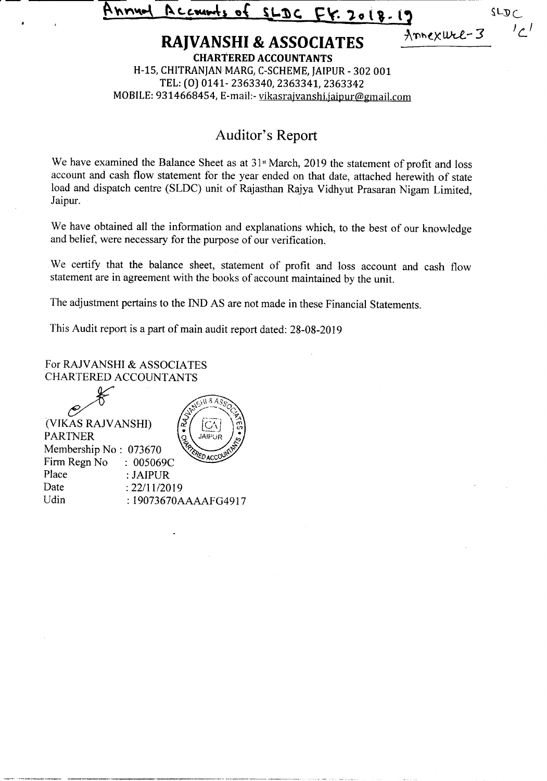${\bf P}_{\text{C}}$  counts of SLDC FY. 2018-19  $SLDC$ 

*<sup>J</sup> c.<sup>I</sup>*

# **RAJVANSHI** & ASSOCIATES <u>*Annexwel-3*</u>

**CHARTERED ACCOUNTANTS** H-15, CHITRANJAN MARG, C-SCHEME, JAIPUR - 302 001 TEL:(0) 0141-2363340,2363341,2363342 MOBILE: 9314668454, E-mail:- vikasrajvanshi.jaipur@gmail.com

## Auditor's Report

We have examined the Balance Sheet as at  $31$ <sup>st</sup> March, 2019 the statement of profit and loss account and cash flow statement for the year ended on that date, attached herewith of state load and dispatch centre (SLDC) unit of Rajasthan Rajya Vidhyut Prasaran Nigam Limited, Jaipur.

We have obtained all the information and explanations which, to the best of our knowledge and belief, were necessary for the purpose of our verification.

We certify that the balance sheet, statement of profit and loss account and cash flow statement are in agreement with the books of account maintained by the unit.

The adjustment pertains to the IND AS are not made in these Financial Statements.

This Audit report is a part of main audit report dated: 28-08-2019

For RAJVANSHI & ASSOCIATES CHARTERED ACCOUNTANTS

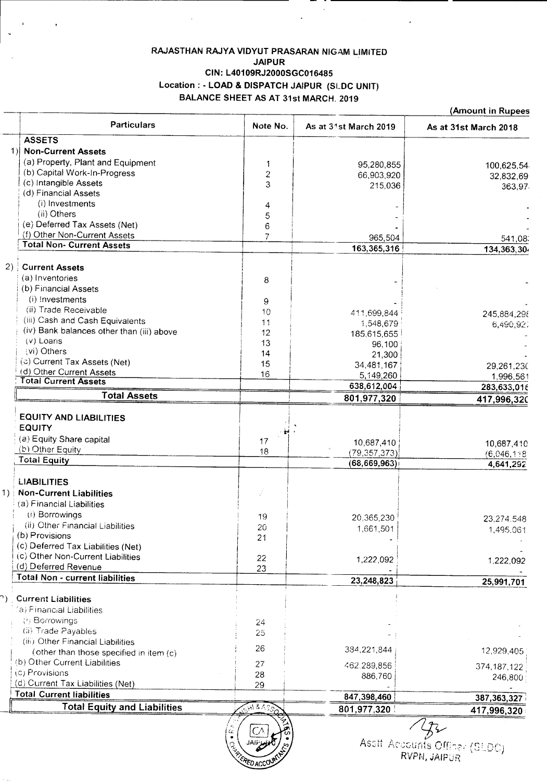## RAJASTHAN RAJYA VIDYUT PRASARAN NIGAM LIMITED JAIPUR CIN: L40109RJ2000SGC016485 Location: - LOAD & DISPATCH JAIPUR (SLDC UNIT) BALANCE SHEET AS AT 31st MARCH. 2019

|         | <b>Particulars</b>                                                      | Note No.           | As at 31st March 2019 | As at 31st March 2018 |
|---------|-------------------------------------------------------------------------|--------------------|-----------------------|-----------------------|
|         | <b>ASSETS</b>                                                           |                    |                       |                       |
|         | 1) Non-Current Assets                                                   |                    |                       |                       |
|         | (a) Property, Plant and Equipment                                       | 1                  | 95,280,855            | 100,625,54            |
|         | (b) Capital Work-In-Progress                                            | $\overline{c}$     | 66,903,920            | 32,832,69             |
|         | (c) Intangible Assets                                                   | 3                  | 215,036               | 363,97                |
|         | (d) Financial Assets                                                    |                    |                       |                       |
|         | (i) Investments<br>(ii) Others                                          | 4                  |                       |                       |
|         |                                                                         | 5                  |                       |                       |
|         | (e) Deferred Tax Assets (Net)<br>(f) Other Non-Current Assets           | 6                  |                       |                       |
|         | <b>Total Non- Current Assets</b>                                        | $\overline{7}$     | 965,504               | 541,08:               |
|         |                                                                         |                    | 163,365,316           | 134,363,30            |
| $(2)$ : | <b>Current Assets</b>                                                   |                    |                       |                       |
|         | (a) Inventories                                                         | 8                  |                       |                       |
|         | (b) Financial Assets                                                    |                    |                       |                       |
|         | (i) Investments                                                         | 9                  |                       |                       |
|         | (ii) Trade Receivable                                                   | 10                 | 411,699,844           |                       |
|         | (iii) Cash and Cash Equivalents                                         | 11                 | 1,548,679             | 245,884,298           |
|         | (iv) Bank balances other than (iii) above                               | 12                 | 185,615,655           | 6,490,92.             |
|         | (v) Loans                                                               | 13                 | 96,100                |                       |
|         | (vi) Others                                                             | 14                 | 21,300                |                       |
|         | (c) Current Tax Assets (Net)                                            | 15                 | 34,481,167            | 29,261,230            |
|         | (d) Other Current Assets                                                | 16                 | 5,149,260             | 1,996,561             |
|         | <b>Total Current Assets</b>                                             |                    | 638,612,004           | 283,633,016           |
|         | <b>Total Assets</b>                                                     |                    | 801,977,320           | 417,996,320           |
|         |                                                                         |                    |                       |                       |
|         | <b>EQUITY AND LIABILITIES</b>                                           |                    |                       |                       |
|         | <b>EQUITY</b>                                                           |                    |                       |                       |
|         | (a) Equity Share capital                                                | 17                 | 10,687,410            | 10,687,410            |
|         | (b) Other Equity                                                        | 18                 | (79, 357, 373)        | (6,046,118)           |
|         | <b>Total Equity</b>                                                     |                    | (68, 669, 963)        | 4,641,292             |
|         |                                                                         |                    |                       |                       |
|         | <b>LIABILITIES</b>                                                      |                    |                       |                       |
|         | 1) Non-Current Liabilities                                              | ÷,                 |                       |                       |
|         | (a) Financial Liabilities                                               |                    |                       |                       |
|         | (i) Borrowings                                                          | 19                 | 20,365,230            | 23,274.548            |
|         | (ii) Other Financial Liabilities                                        | 20                 | 1,661,501             | 1,495.061             |
|         | (b) Provisions                                                          | 21                 |                       |                       |
|         | (c) Deferred Tax Liabilities (Net)<br>(c) Other Non-Current Liabilities |                    |                       |                       |
|         | (d) Deferred Revenue                                                    | 22                 | 1,222,092             | 1,222,092             |
|         | Total Non - current liabilities                                         | 23                 |                       |                       |
|         |                                                                         |                    | 23,248,823            | 25,991,701            |
|         | <b>Current Liabilities</b>                                              |                    |                       |                       |
|         | (a) Financial Liabilities                                               |                    |                       |                       |
|         | (i) Borrowings                                                          |                    |                       |                       |
|         | (ii) Trade Payables                                                     | 24<br>25           |                       |                       |
|         | (iii) Other Financial Liabilities                                       |                    |                       |                       |
|         | (other than those specified in item (c)                                 | 26                 | 384,221,844           | 12,929,405            |
|         | (b) Other Current Liabilities                                           | 27                 |                       |                       |
|         | (c) Provisions                                                          | 28                 | 462,289,856           | 374,187,122           |
|         | (d) Current Tax Liabilities (Net)                                       | 29                 | 886,760               | 246,800               |
|         | <b>Total Current liabilities</b>                                        |                    | 847,398,460           | 387, 363, 327         |
|         | <b>Total Equity and Liabilities</b>                                     | $2418\overline{A}$ | 801,977,320           | 417,996,320           |
|         |                                                                         |                    |                       |                       |
|         |                                                                         | £c,                |                       |                       |



Assti Accounts Officer (SLDC)<br>- **RVPN, JAIP**UR

(Amount in Rupees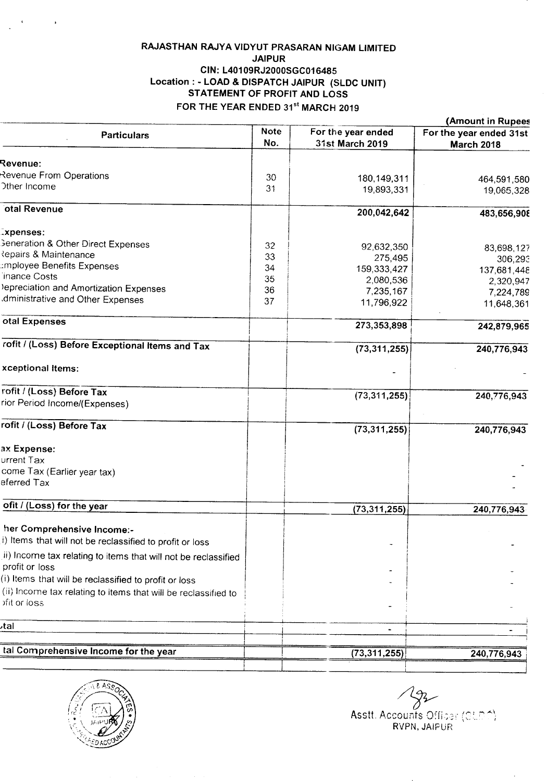## RAJASTHAN RAJYA VIDYUT PRASARAN NIGAM LIMITED JAIPUR CIN: L40109RJ2000SGC016485 Location: - LOAD & DISPATCH JAIPUR (SLDC UNIT) STATEMENT OF PROFIT AND LOSS FOR THE YEAR ENDED 31st MARCH 2019

|                                                                |                    |                                       | (Amount in Rupees                            |
|----------------------------------------------------------------|--------------------|---------------------------------------|----------------------------------------------|
| <b>Particulars</b>                                             | <b>Note</b><br>No. | For the year ended<br>31st March 2019 | For the year ended 31st<br><b>March 2018</b> |
| <b>Revenue:</b>                                                |                    |                                       |                                              |
| Revenue From Operations                                        | 30                 |                                       |                                              |
| Other Income                                                   | 31                 | 180,149,311<br>19,893,331             | 464,591,580<br>19,065,328                    |
| otal Revenue                                                   |                    | 200,042,642                           | 483,656,908                                  |
| .xpenses:                                                      |                    |                                       |                                              |
| <b>Beneration &amp; Other Direct Expenses</b>                  | 32                 |                                       |                                              |
| Repairs & Maintenance                                          | 33                 | 92,632,350                            | 83,698,127                                   |
| mployee Benefits Expenses                                      | 34                 | 275,495                               | 306,293                                      |
| inance Costs                                                   | 35                 | 159,333,427                           | 137,681,448                                  |
| lepreciation and Amortization Expenses                         | 36                 | 2,080,536                             | 2,320,947                                    |
| dministrative and Other Expenses                               |                    | 7,235,167                             | 7,224,789                                    |
|                                                                | 37                 | 11,796,922                            | 11,648,361                                   |
| otal Expenses                                                  |                    | 273,353,898                           | 242,879,965                                  |
| rofit / (Loss) Before Exceptional Items and Tax                |                    | (73, 311, 255)                        | 240,776,943                                  |
| xceptional Items:                                              |                    |                                       |                                              |
| rofit / (Loss) Before Tax                                      |                    | (73, 311, 255)                        | 240,776,943                                  |
| rior Period Income/(Expenses)                                  |                    |                                       |                                              |
| rofit / (Loss) Before Tax                                      |                    | (73, 311, 255)                        | 240,776,943                                  |
| ax Expense:                                                    |                    |                                       |                                              |
| urrent Tax                                                     |                    |                                       |                                              |
| come Tax (Earlier year tax)                                    |                    |                                       |                                              |
| eferred Tax                                                    |                    |                                       |                                              |
| ofit / (Loss) for the year                                     |                    | (73, 311, 255)                        | 240,776,943                                  |
| her Comprehensive Income:-                                     |                    |                                       |                                              |
| i) Items that will not be reclassified to profit or loss       |                    |                                       |                                              |
| ii) Income tax relating to items that will not be reclassified |                    |                                       |                                              |
| profit or loss                                                 |                    |                                       |                                              |
| (i) Items that will be reclassified to profit or loss          |                    |                                       |                                              |
| (ii) Income tax relating to items that will be reclassified to |                    |                                       |                                              |
| ofit or loss                                                   |                    |                                       |                                              |
| اtal                                                           |                    |                                       |                                              |
|                                                                |                    |                                       |                                              |
| tal Comprehensive Income for the year                          |                    | (73,311,255)                          | 240,776,943                                  |
|                                                                |                    |                                       |                                              |



م<br>Asstt. Accounts Officer (SLDA)

RVPN, JAIPUF\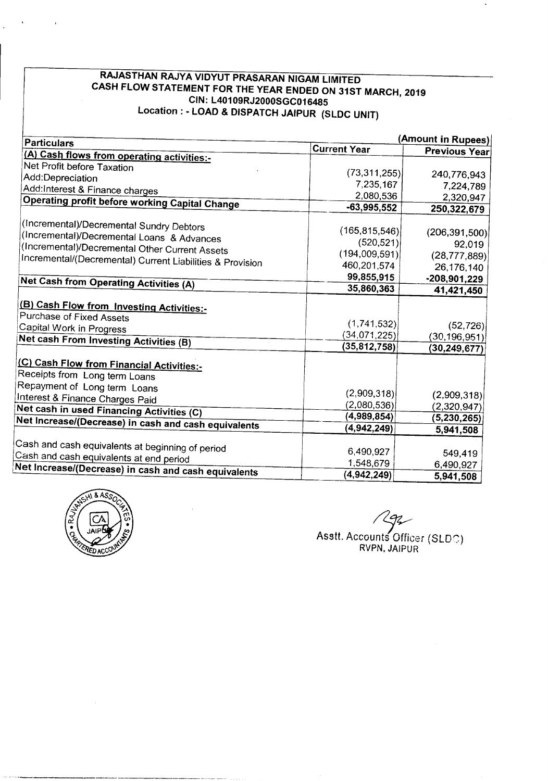## **RAJASTHAN RAJYA VIDYUT PRASARAN NIGAM LIMITED CASH FLOW STATEMENT FOR THE YEAR ENDED ON 31ST MARCH, 2019 CIN: L40109RJ2000SGC016485 Location: - LOAD & DISPATCH JAIPUR (SLDC UNIT)**

| <b>Particulars</b>                                                         | <b>Current Year</b> | (Amount in Rupees)   |
|----------------------------------------------------------------------------|---------------------|----------------------|
| (A) Cash flows from operating activities:-                                 |                     | <b>Previous Year</b> |
| Net Profit before Taxation                                                 |                     |                      |
| Add:Depreciation                                                           | (73, 311, 255)      | 240,776,943          |
| Add:Interest & Finance charges                                             | 7,235,167           | 7,224,789            |
| <b>Operating profit before working Capital Change</b>                      | 2,080,536           | 2,320,947            |
|                                                                            | $-63,995,552$       | 250,322,679          |
| (Incremental)/Decremental Sundry Debtors                                   |                     |                      |
| (Incremental)/Decremental Loans & Advances                                 | (165, 815, 546)     | (206, 391, 500)      |
| (Incremental)/Decremental Other Current Assets                             | (520, 521)          | 92,019               |
| Incremental/(Decremental) Current Liabilities & Provision                  | (194,009,591)       | (28, 777, 889)       |
|                                                                            | 460,201,574         | 26,176,140           |
| Net Cash from Operating Activities (A)                                     | 99,855,915          | $-208,901,229$       |
|                                                                            | 35,860,363          | 41,421,450           |
| (B) Cash Flow from Investing Activities:-                                  |                     |                      |
| Purchase of Fixed Assets                                                   |                     |                      |
| Capital Work in Progress                                                   | (1,741,532)         | (52, 726)            |
| Net cash From Investing Activities (B)                                     | (34,071,225)        | (30, 196, 951)       |
|                                                                            | (35,812,758)        | (30, 249, 677)       |
|                                                                            |                     |                      |
| (C) Cash Flow from Financial Activities:-<br>Receipts from Long term Loans |                     |                      |
|                                                                            |                     |                      |
| Repayment of Long term Loans                                               | (2,909,318)         | (2,909,318)          |
| Interest & Finance Charges Paid                                            | (2,080,536)         | (2,320,947)          |
| Net cash in used Financing Activities (C)                                  | (4,989,854)         | (5,230,265)          |
| Net Increase/(Decrease) in cash and cash equivalents                       | (4,942,249)         | 5,941,508            |
|                                                                            |                     |                      |
| Cash and cash equivalents at beginning of period                           | 6,490,927           | 549,419              |
| Cash and cash equivalents at end period                                    | 1,548,679           | 6,490,927            |
| Net Increase/(Decrease) in cash and cash equivalents                       | (4,942,249)         | 5,941,508            |



Asstt. Accounts Officer (SLDC) RVPN. JAIPUR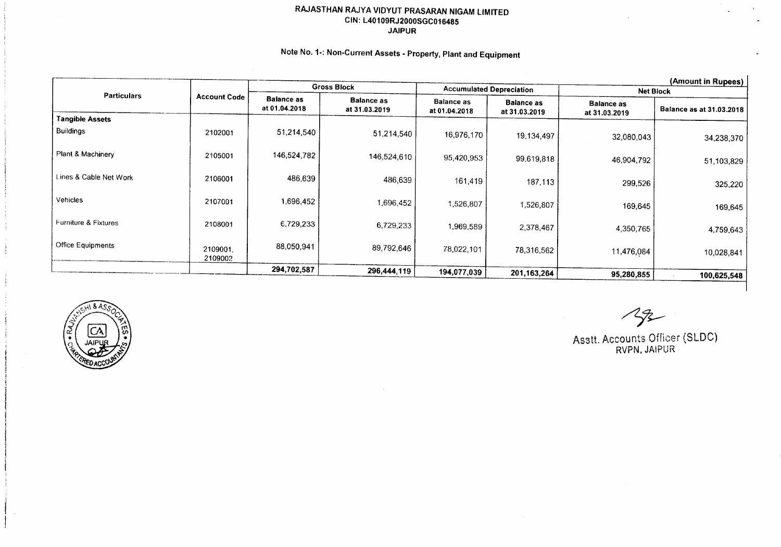## RAJASTHAN RAJYA VIDYUT PRASARAN NIGAM LIMITED CIN: L40109RJ2000SGC016485 JAIPUR

## Note No. 1-: Non-Current Assets - Property, Plant and Equipment

| <b>Gross Block</b>       |                     |                                    |                                    |                                    |                                    |                                    | (Amount in Rupees)       |
|--------------------------|---------------------|------------------------------------|------------------------------------|------------------------------------|------------------------------------|------------------------------------|--------------------------|
| <b>Particulars</b>       |                     |                                    | <b>Accumulated Depreciation</b>    |                                    | Net Block                          |                                    |                          |
|                          | <b>Account Code</b> | <b>Balance as</b><br>at 01.04.2018 | <b>Balance as</b><br>at 31.03.2019 | <b>Balance as</b><br>at 01.04.2018 | <b>Balance as</b><br>at 31.03.2019 | <b>Balance as</b><br>at 31.03.2019 | Balance as at 31.03.2018 |
| <b>Tangible Assets</b>   |                     |                                    |                                    |                                    |                                    |                                    |                          |
| <b>Buildings</b>         | 2102001             | 51,214,540                         | 51,214,540                         | 16,976,170                         | 19,134,497                         | 32,080,043                         | 34,238,370               |
| Plant & Machinery        | 2105001             | 146,524,782                        | 146,524,610                        | 95,420,953                         | 99,619,818                         | 46,904,792                         | 51,103,829               |
| Lines & Cable Net Work   | 2106001             | 486,639                            | 486,639                            | 161,419                            | 187,113                            | 299,526                            | 325,220                  |
| Vehicles                 | 2107001             | 1,696,452                          | 1,696,452                          | 1,526,807                          | 1,526,807                          | 169,645                            | 169,645                  |
| Furniture & Fixtures     | 2108001             | 6,729,233                          | 6,729,233                          | 1,969,589                          | 2,378,467                          | 4,350,765                          | 4,759,643                |
| <b>Office Equipments</b> | 2109001.<br>2109002 | 88,050,941                         | 89,792,646                         | 78,022,101                         | 78,316,562                         | 11,476,084                         | 10,028,841               |
|                          |                     | 294,702,587                        | 296,444,119                        | 194,077,039                        |                                    |                                    |                          |
|                          |                     |                                    |                                    |                                    | 201, 163, 264                      | 95,280,855                         | 100,625,548              |



 $\mathcal{L}_{\mathcal{F}}$ 

Asstt. Accounts Officer (SLOe) RVPN, JAIPUR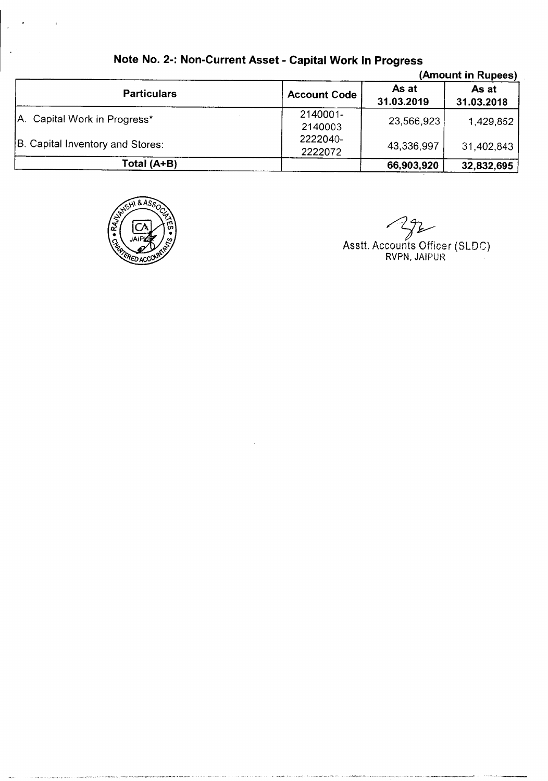|                                  |                     |                     | (Amount in Rupees)  |
|----------------------------------|---------------------|---------------------|---------------------|
| <b>Particulars</b>               | <b>Account Code</b> | As at<br>31.03.2019 | As at<br>31.03.2018 |
| A. Capital Work in Progress*     | 2140001-<br>2140003 | 23,566,923          | 1,429,852           |
| B. Capital Inventory and Stores: | 2222040-<br>2222072 | 43,336,997          | 31,402,843          |
| Total (A+B)                      |                     | 66,903,920          | 32,832,695          |

## **Note No. 2-: Non-Current Asset - Capital Work in Progress**



یخ

~ Asstt. Accounts Officer (SLOe) RVPN, JAIPUR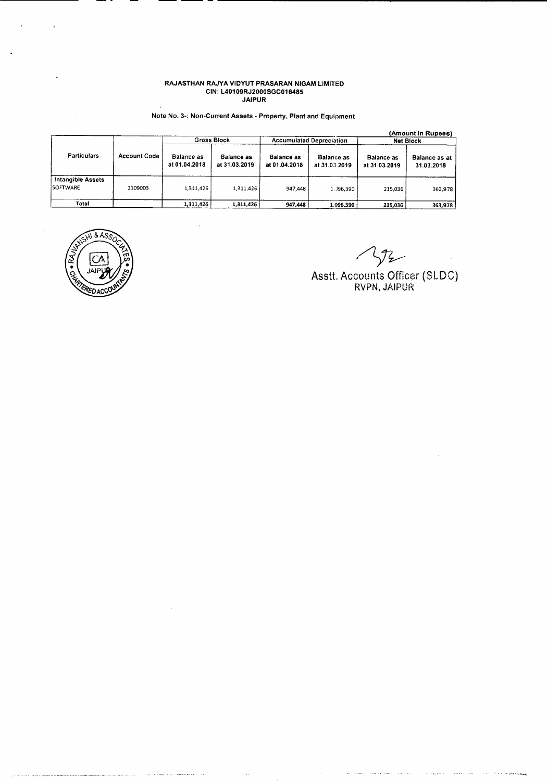#### RAJASTHAN RAJYA VIDYUT PRASARAN NIGAM LIMITEI CIN: L40109RJ2000SGC01( JAIPUR

## Note No. 3-: Non-Current Assets - Property. Plant and Equipment

|                               |                     |                             | <b>Gross Block</b>                 |                                    | <b>Accumulated Depreciation</b>    |                             | (Amount in Rupees)<br><b>Net Block</b> |
|-------------------------------|---------------------|-----------------------------|------------------------------------|------------------------------------|------------------------------------|-----------------------------|----------------------------------------|
| <b>Particulars</b>            | <b>Account Code</b> | Balance as<br>at 01.04.2018 | <b>Balance as</b><br>at 31.03.2019 | <b>Balance as</b><br>at 01.04.2018 | <b>Balance as</b><br>at 31.03.2019 | Balance as<br>at 31.03.2019 | Balance as at<br>31.03.2018            |
| Intangible Assets<br>SOFTWARE | 2109003             | 1.311.426                   | 1,311,426                          | 947.448                            | 1.396.390                          | 215 036                     | 363,978                                |
| Total                         |                     | 1,311,426                   | 1,311,426                          | 947,448                            | 1,096.390                          | 215,036                     | 363,978                                |



 $\sqrt[3]{2}$ 

Asstt. Accounts Officer (SLDG) RVPN. JAIPUR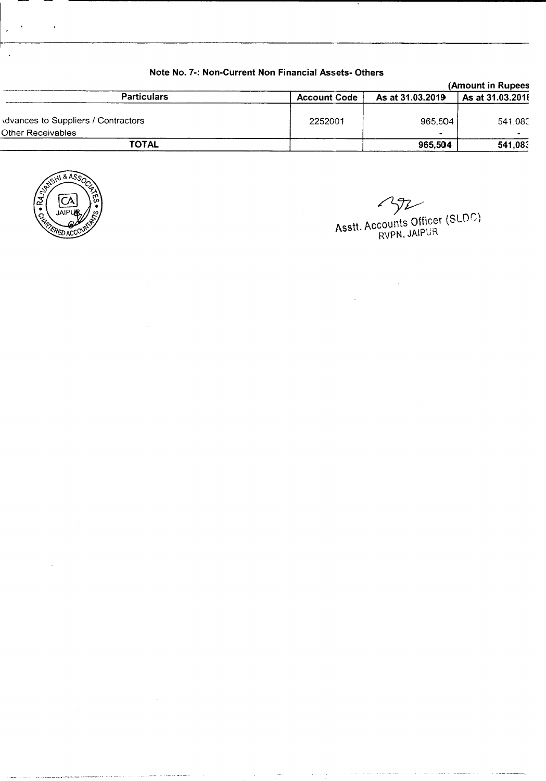|                                    |                     | (Amount in Rupees |                  |
|------------------------------------|---------------------|-------------------|------------------|
| <b>Particulars</b>                 | <b>Account Code</b> | As at 31.03.2019  | As at 31.03.2018 |
| dvances to Suppliers / Contractors | 2252001             | 965.504           | 541.083          |
| Other Receivables                  |                     | $\blacksquare$    |                  |
| <b>TOTAL</b>                       |                     | 965,504           | 541,083          |

## **Note** No.7-: **Non-Current Non Financial Assets- Others**



 $\lambda$ 

 $\mathcal{L}^{\text{max}}_{\text{max}}$ 

 $\overline{\phantom{a}}$ 

YZ

 $\mathcal{L}_{\mathcal{A}}$ 

 $\lambda$ cett, Accounts Officer (SLUD ASSIL ACCOMICS OF RUPUR

 $\sim$   $\sim$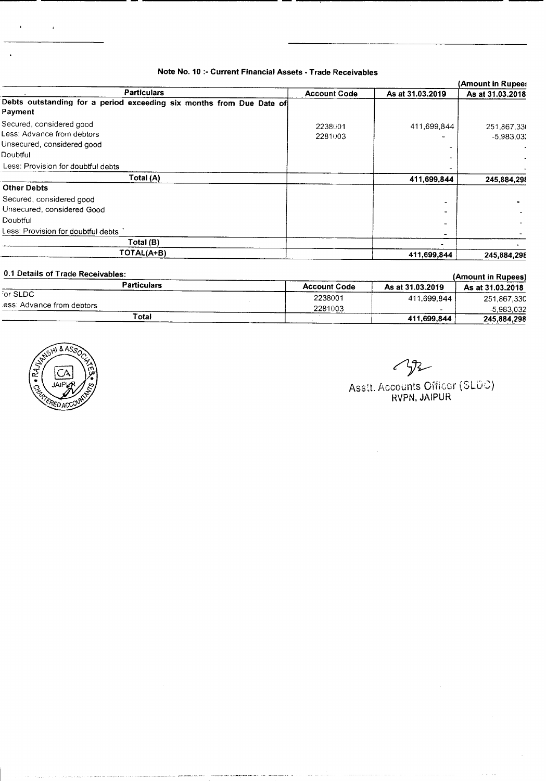## **Note No. 10 :- Current Financial Assets - Trade Receivables**

|                                                                                                  |                     |                  | (Amount in Rupee:           |
|--------------------------------------------------------------------------------------------------|---------------------|------------------|-----------------------------|
| <b>Particulars</b>                                                                               | <b>Account Code</b> | As at 31.03.2019 | As at 31.03.2018            |
| Debts outstanding for a period exceeding six months from Due Date of<br>Payment                  |                     |                  |                             |
| Secured, considered good<br>Less: Advance from debtors<br>Unsecured, considered good<br>Doubtful | 2238001<br>2281003  | 411,699,844      | 251,867,330<br>$-5,983,032$ |
| Less: Provision for doubtful debts                                                               |                     |                  |                             |
| Total (A)                                                                                        |                     | 411,699,844      | 245,884,298                 |
| <b>Other Debts</b>                                                                               |                     |                  |                             |
| Secured, considered good                                                                         |                     |                  |                             |
| Unsecured, considered Good                                                                       |                     |                  |                             |
| Doubtful                                                                                         |                     |                  |                             |
| Less: Provision for doubtful debts                                                               |                     |                  |                             |
| Total (B)                                                                                        |                     |                  |                             |
| TOTAL(A+B)                                                                                       |                     | 411,699,844      | 245,884,298                 |

| 0.1 Details of Trade Receivables: |                     |                  | (Amount in Rupees) |
|-----------------------------------|---------------------|------------------|--------------------|
| <b>Particulars</b>                | <b>Account Code</b> | As at 31.03.2019 | As at 31.03.2018   |
| For SLDC                          | 2238001             | 411.699.844      | 251,867,330        |
| ess: Advance from debtors.        | 2281003             |                  | $-5,983,032$       |
| Total                             |                     | 411,699,844      | 245,884,298        |

.<br>Anggot sebesar seri ini ka

and a company



 $\overline{\phantom{a}}$ 

~

Asstt. Accounts Officer (SLUC); **RVPN, JAIPUR**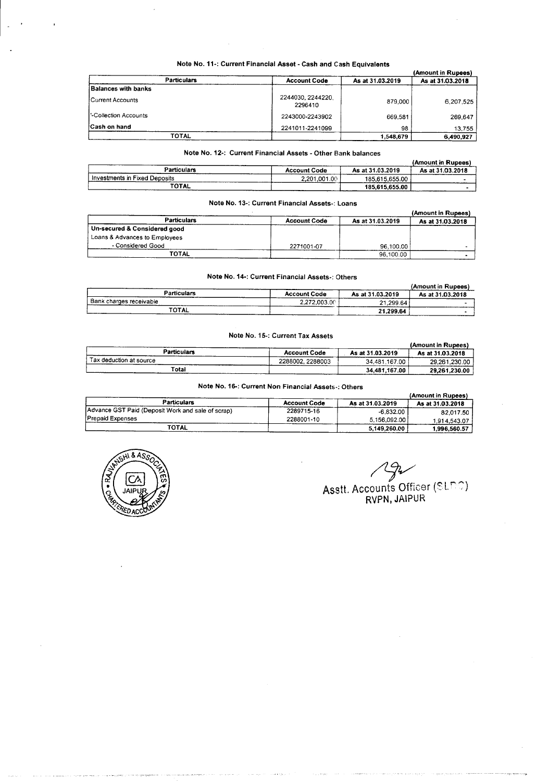| Note No. 11-: Current Financial Asset - Cash and Cash Equivalents |  |
|-------------------------------------------------------------------|--|
|-------------------------------------------------------------------|--|

|                            |                             |                  | (Amount in Rupees) |
|----------------------------|-----------------------------|------------------|--------------------|
| <b>Particulars</b>         | <b>Account Code</b>         | As at 31.03.2019 | As at 31.03.2018   |
| <b>Balances with banks</b> |                             |                  |                    |
| l Current Accounts         | 2244030.2244220.<br>2296410 | 879,000          | 6.207.525          |
| -Collection Accounts       | 2243000-2243902             | 669.581          | 269,647            |
| <b>Cash on hand</b>        | 2241011-2241099             | 98               | 13.755             |
| TOTAL                      |                             | 1.548.679        | 6,490,927          |

## Note No. 12-: Current Financial Assets - Other Bank balances

|                               |                     | $ -$ Detectors   | (Amount in Rupees) |
|-------------------------------|---------------------|------------------|--------------------|
| Particulars                   | <b>Account Code</b> | As at 31.03.2019 | As at 31.03.2018   |
| Investments in Fixed Deposits | 2.201.001.00        | 185.615.655.00   |                    |
| TOTAL                         |                     | 185,615,655.00   |                    |

#### Note No. 13-: Current Financial Assets-: Loans

|                               |                     |                  | (Amount in Rupees) |
|-------------------------------|---------------------|------------------|--------------------|
| <b>Particulars</b>            | <b>Account Code</b> | As at 31.03.2019 | As at 31.03.2018   |
| Un-secured & Considered good  |                     |                  |                    |
| Loans & Advances to Employees |                     |                  |                    |
| - Considered Good             | 2271001-07          | 96,100,00        |                    |
| TOTAL                         |                     | 96.100.00        |                    |

#### Note No, 14-: Current Financial Assets-: Others

|                           |                     |                  | (Amount in Rupees) |
|---------------------------|---------------------|------------------|--------------------|
| Particulars               | <b>Account Code</b> | As at 31.03.2019 | As at 31.03.2018   |
| ⊤ Bank charges receivable | 2.272.003.00        | 21.299.64        |                    |
| <b>TOTAL</b>              |                     | 21.299.64        |                    |

## Note No. 15-: Current Tax Assets

|                         |                     |                  | (Amount in Rupees) |
|-------------------------|---------------------|------------------|--------------------|
| <b>Particulars</b>      | <b>Account Code</b> | As at 31.03.2019 | As at 31.03.2018   |
| Tax deduction at source | 2288002.2288003     | 34,481,167.00    | 29.261.230.00      |
| Total                   |                     | 34.481.167.00    | 29.261.230.00      |

## Note No. 16-: Current Non Financial Assets-: Others

|                                                   |                     |                  | (Amount in Rupees) |
|---------------------------------------------------|---------------------|------------------|--------------------|
| <b>Particulars</b>                                | <b>Account Code</b> | As at 31.03.2019 | As at 31.03.2018   |
| Advance GST Paid (Deposit Work and sale of scrap) | 2289715-16          | $-6.832.00$      | 82.017.50          |
| Prepaid Expenses                                  | 2288001-10          | 5.156.092.00     | 1.914.543.07       |
| <b>TOTAL</b>                                      |                     | 5,149.260.00     | 1.996.560.57       |



*/Z!jV* Asstt. Accounts Officer (SUFF<sub>o</sub>) RVPN, JAIPUR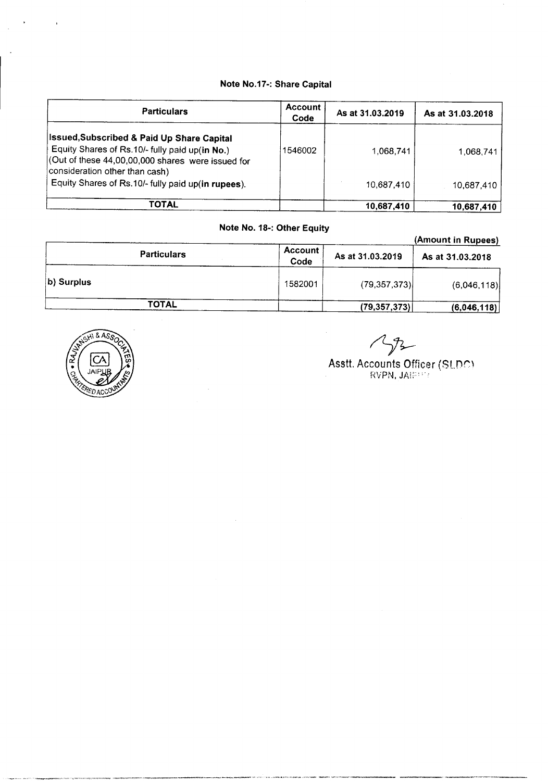## Note No.17-: Share Capital

| <b>Particulars</b>                                                                                                                                                                                     | <b>Account</b><br>Code | As at 31.03.2019 | As at 31.03.2018 |
|--------------------------------------------------------------------------------------------------------------------------------------------------------------------------------------------------------|------------------------|------------------|------------------|
| <b>Issued, Subscribed &amp; Paid Up Share Capital</b><br>Equity Shares of Rs.10/- fully paid up(in No.)<br>$\vert$ (Out of these 44,00,00,000 shares were issued for<br>consideration other than cash) | 1546002                | 1.068.741        | 1.068.741        |
| Equity Shares of Rs.10/- fully paid up(in rupees).                                                                                                                                                     |                        | 10,687,410       | 10.687.410       |
| TOTAL                                                                                                                                                                                                  |                        | 10,687,410       | 10,687,410       |

## Note No. 18-: Other Equity

## Particulars Account Code As at 31.03.2019 As at 31.03.2018 **b) Surplus** (6,046,118) TOTAL (79,357,373) (6,046,118) (Amount in Rupees)



 $272$ 

## Asstt. Accounts Officer (SLDC RVPN, JAIP  $\oplus$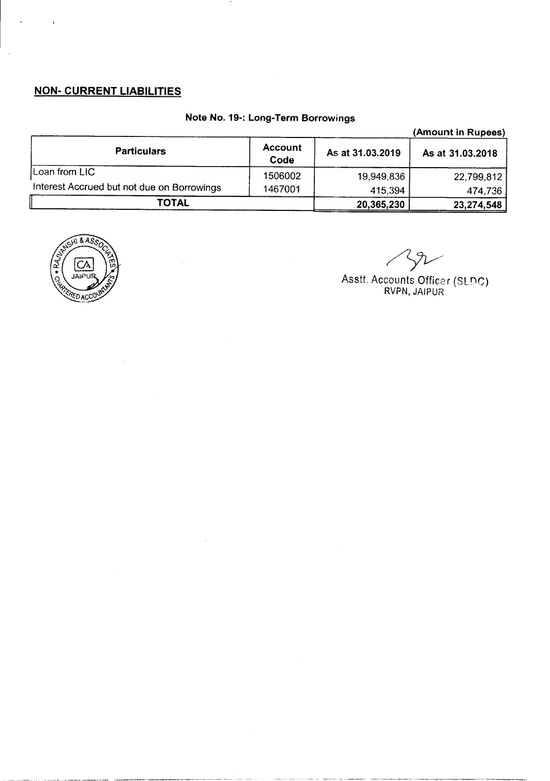## **NON- CURRENT LIABILITIES**

## **Note No. 19-: Long-Term Borrowings**

 $\sim$ 

 $\cdot$ 

|                                            |                        |                  | (Amount in Rupees) |
|--------------------------------------------|------------------------|------------------|--------------------|
| <b>Particulars</b>                         | <b>Account</b><br>Code | As at 31.03.2019 | As at 31.03.2018   |
| Loan from LIC                              | 1506002                | 19,949,836       | 22,799,812         |
| Interest Accrued but not due on Borrowings | 1467001                | 415,394          | 474,736            |
| TOTAL                                      |                        | 20,365,230       | 23,274,548         |



 $\sqrt{l}$ 

Asstt. Accounts Officer (Sl.DC) RVPN, JAIPUR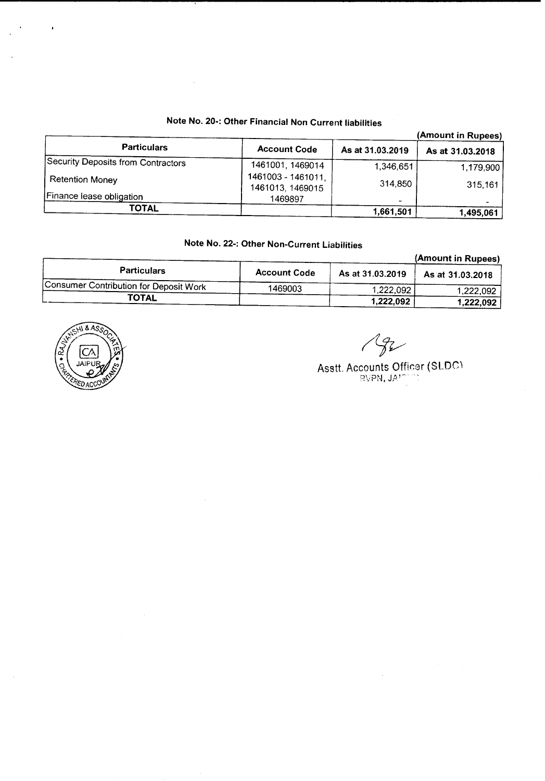## **Note No. 20-: Other Financial Non Current liabilities**

|                                    |                                        | (Amount in Rupees) |                  |
|------------------------------------|----------------------------------------|--------------------|------------------|
| <b>Particulars</b>                 | <b>Account Code</b>                    | As at 31.03.2019   | As at 31.03.2018 |
| Security Deposits from Contractors | 1461001, 1469014                       | 1,346,651          | 1,179,900        |
| <b>Retention Money</b>             | 1461003 - 1461011.<br>1461013, 1469015 | 314,850            | 315,161          |
| Finance lease obligation           | 1469897                                |                    |                  |
| TOTAL                              |                                        | 1,661,501          | 1,495,061        |

## **Note No. 22-: Other Non-Current Liabilities**

|                                        |                     |                  | (Amount in Rupees) |
|----------------------------------------|---------------------|------------------|--------------------|
| <b>Particulars</b>                     | <b>Account Code</b> | As at 31.03.2019 | As at 31.03.2018   |
| Consumer Contribution for Deposit Work | 1469003             | 1,222,092        | 1,222,092          |
| <b>TOTAL</b>                           |                     | 1.222.092        | 1,222,092          |



 $\bar{\mathcal{A}}$ 

 $\overline{\phantom{a}}$ 

 $\mathcal{L}$ 

 $\sqrt{g}$ 

Asstt. Accounts Officer (SLDC RVP**N, J**A'<sup>n.</sup>' "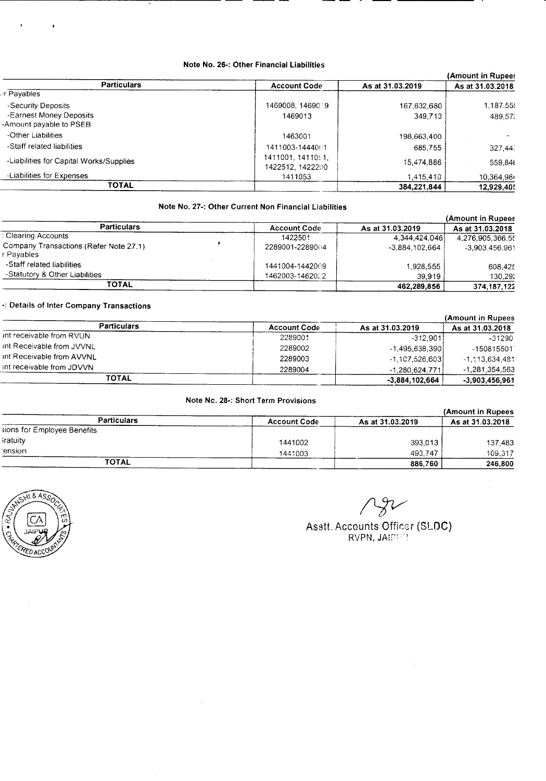#### Note No. 26-: Other Financial Liabilities

|                                       |                  | (Amount in Rupee: |
|---------------------------------------|------------------|-------------------|
| <b>Account Code</b>                   | As at 31.03.2019 | As at 31.03.2018  |
|                                       |                  |                   |
| 1469008.1469019                       | 167.632.680      | 1,187,55.         |
| 1469013                               | 349.713          | 489,57.           |
|                                       |                  |                   |
| 1463001                               | 198,663,400      |                   |
| 1411003-1444001                       | 685.755          | 327,44.           |
| 1411001, 1411051,<br>1422512, 1422200 | 15,474,886       | 559.846           |
| 1411053                               | 1,415,410        | 10,364,984        |
|                                       | 384,221,844      | 12,929,40         |
|                                       |                  |                   |

## Note No. 27-: Other Current Non Financial Liabilities

|                                                      |                     |                  | (Amount in Rupees |
|------------------------------------------------------|---------------------|------------------|-------------------|
| <b>Particulars</b>                                   | <b>Account Code</b> | As at 31.03.2019 | As at 31.03.2018  |
| : Clearing Accounts                                  | 1422501             | 4.344.424.046    | 4.276.905.366.55  |
| Company Transactions (Refer Note 27.1)<br>r Payables | 2289001-2289004     | $-3.884.102.664$ | -3.903.456.961    |
| -Staff related liabilities                           | 1441004-1442009     | 1,928,555        | 608.425           |
| -Statutory & Other Liabilities                       | 1462003-1462022.    | 39.919           | 130,292           |
| ΤΟΤΑL                                                |                     | 462,289,856      | 374,187,122       |

## .: Details of Inter Company Transactions

|                           |                     |                  | (Amount in Rupees |
|---------------------------|---------------------|------------------|-------------------|
| <b>Particulars</b>        | <b>Account Code</b> | As at 31.03.2019 | As at 31.03.2018  |
| int receivable from RVUN  | 2289001             | $-312.901$       | $-31290$          |
| int Receivable from JVVNL | 2289002             | $-1.495.638.390$ | -1508155011       |
| int Receivable from AVVNL | 2289003             | $-1,107,526,603$ | -1,113,634,481    |
| int receivable from JDVVN | 2289004             | $-1.280.624.771$ | -1,281,354,563    |
| ΤΟΤΑL                     |                     | -3.884.102.664   | -3,903,456,961    |

## Note Nc. 28-: Short Term Provisions

|                             |                     |                  | (Amount in Rupees |  |
|-----------------------------|---------------------|------------------|-------------------|--|
| <b>Particulars</b>          | <b>Account Code</b> | As at 31.03.2019 | As at 31.03.2018  |  |
| sions for Employee Benefits |                     |                  |                   |  |
| iratuity                    | 1441002             | 393.013          | 137,483           |  |
| ension                      | 1441003             | 493,747          | 109,317           |  |
| <b>TOTAL</b>                |                     | 886,760          | 246,800           |  |



 $^{\prime}$ 

Asstt. Accounts Officer (SLOC) rvpn, Jaiper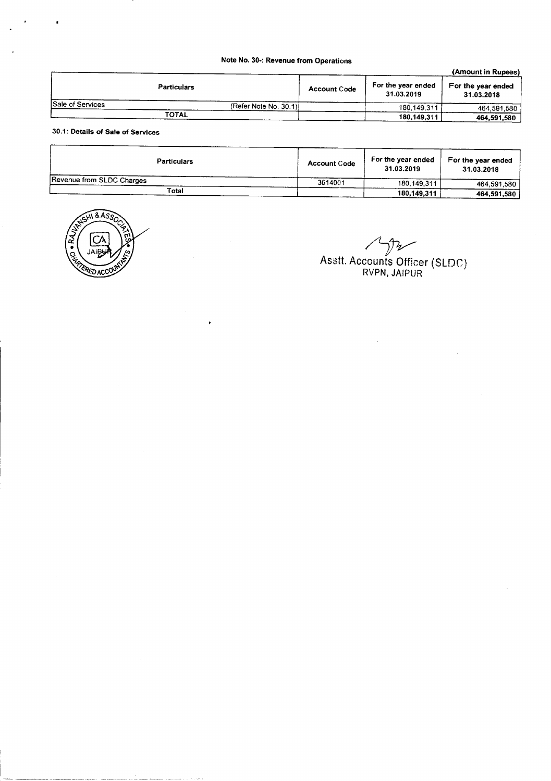## Note No. 30·: Revenue from Operations

|                  |                       |                     |                                  | (Amount in Rupees)               |
|------------------|-----------------------|---------------------|----------------------------------|----------------------------------|
|                  | <b>Particulars</b>    | <b>Account Code</b> | For the year ended<br>31.03.2019 | For the year ended<br>31.03.2018 |
| Sale of Services | (Refer Note No. 30.1) |                     | 180,149,311                      | 464.591.580                      |
|                  | TOTAL                 |                     | 180,149,311                      | 464,591,580                      |

30.1: Details of Sale of Services

| <b>Particulars</b>        | <b>Account Code</b> | For the year ended<br>31.03.2019 | For the year ended<br>31.03.2018 |
|---------------------------|---------------------|----------------------------------|----------------------------------|
| Revenue from SLDC Charges | 3614001             | 180.149.311                      | 464.591.580                      |
| Total                     |                     | 180,149,311                      | 464,591,580                      |



 $\mathcal{V}$ ~ AS3tt. Accounts Officer (SLOe) RVPN, JAIPUR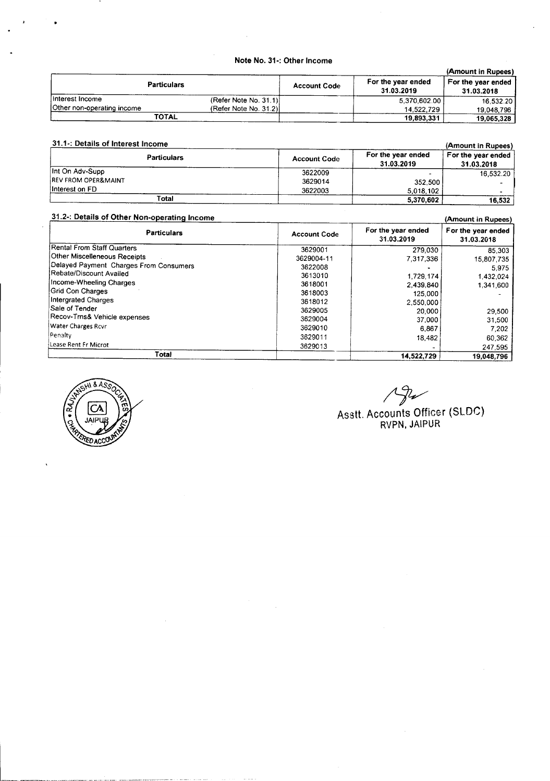## Note No. 31·: Other Income

|                            |                       |                     |                                  | (Amount in Rupees)               |
|----------------------------|-----------------------|---------------------|----------------------------------|----------------------------------|
| <b>Particulars</b>         |                       | <b>Account Code</b> | For the year ended<br>31.03.2019 | For the year ended<br>31.03.2018 |
| Interest Income            | (Refer Note No. 31.1) |                     | 5.370.602.00                     | 16.532.20                        |
| Other non-operating income | (Refer Note No. 31.2) |                     | 14.522.729                       | 19.048.796                       |
| <b>TOTAL</b>               |                       |                     | 19,893,331                       | 19.065,328                       |

| 31.1 -: Details of Interest Income | (Amount in Rupees)  |                                  |                                  |
|------------------------------------|---------------------|----------------------------------|----------------------------------|
| <b>Particulars</b>                 | <b>Account Code</b> | For the year ended<br>31.03.2019 | For the year ended<br>31.03.2018 |
| Int On Adv-Supp                    | 3622009             |                                  | 16.532.20                        |
| <b>REV FROM OPER&amp;MAINT</b>     | 3629014             | 352.500                          |                                  |
| Interest on FD                     | 3622003             | 5,018,102                        |                                  |
| Total                              |                     | 5,370,602                        | 16,532                           |

| 31.2-: Details of Other Non-operating Income<br>(Amount in Rupees) |                     |                                  |                                  |
|--------------------------------------------------------------------|---------------------|----------------------------------|----------------------------------|
| <b>Particulars</b>                                                 | <b>Account Code</b> | For the year ended<br>31.03.2019 | For the year ended<br>31.03.2018 |
| Rental From Staff Quarters                                         | 3629001             | 279,030                          | 85.303                           |
| Other Miscelleneous Receipts                                       | 3629004-11          | 7,317,336                        | 15,807,735                       |
| Delayed Payment Charges From Consumers                             | 3622008             |                                  | 5.975                            |
| Rebate/Discount Availed                                            | 3613010             | 1,729,174                        | 1.432.024                        |
| Income-Wheeling Charges                                            | 3618001             | 2.439.840                        | 1,341,600                        |
| Grid Con Charges                                                   | 3618003             | 125,000                          |                                  |
| Intergrated Charges                                                | 3618012             | 2,550,000                        |                                  |
| Sale of Tender                                                     | 3629005             | 20,000                           | 29,500                           |
| Recov-Trns& Vehicle expenses                                       | 3629004             | 37,000                           | 31,500                           |
| <b>Water Charges Rovr</b>                                          | 3629010             | 6.867                            | 7.202                            |
| !Penalty                                                           | 3629011             | 18,482                           | 60.362                           |
| Lease Rent Fr Microt                                               | 3629013             |                                  | 247,595                          |
| Total                                                              |                     | 14,522,729                       | 19.048.796                       |



*rJv* Asstt. Accounts Officer (SLOG) RVPN, JAIPUR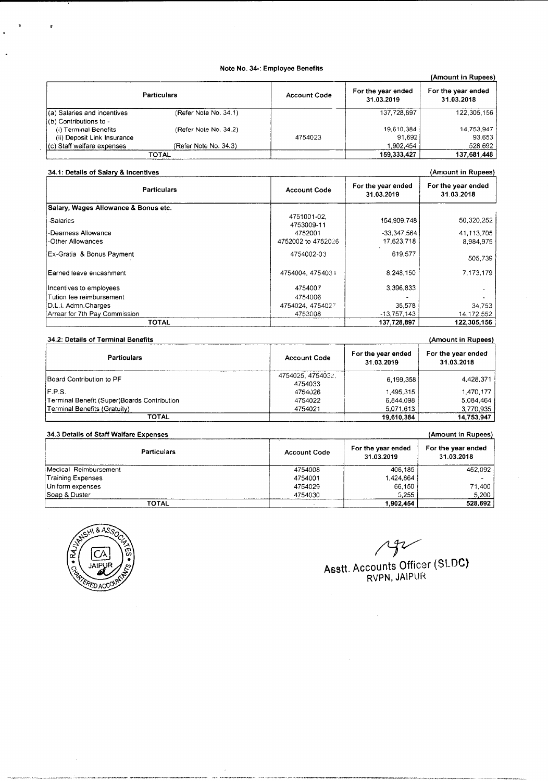#### Note No. 34-: Employee Benefits

|                             |                       |                     |                                  | (Amount in Rupees)               |
|-----------------------------|-----------------------|---------------------|----------------------------------|----------------------------------|
|                             | <b>Particulars</b>    | <b>Account Code</b> | For the year ended<br>31.03.2019 | For the year ended<br>31.03.2018 |
| (a) Salaries and incentives | (Refer Note No. 34.1) |                     | 137.728.897                      | 122,305,156                      |
| (b) Contributions to -      |                       |                     |                                  |                                  |
| (i) Terminal Benefits       | (Refer Note No. 34.2) |                     | 19,610,384                       | 14,753,947                       |
| (ii) Deposit Link Insurance |                       | 4754023             | 91.692                           | 93,653                           |
| (c) Staff welfare expenses  | (Refer Note No. 34.3) |                     | 1,902,454                        | 528,692                          |
|                             | TOTAL                 |                     | 159,333,427                      | 137,681,448                      |

#### 34.1: Details of Salary & Incentives (Amount in Rupees) and the state of Salary & Incentives (Amount in Rupees)

| <b>Particulars</b>                   | <b>Account Code</b>       | For the year ended<br>31.03.2019 | For the year ended<br>31.03.2018 |
|--------------------------------------|---------------------------|----------------------------------|----------------------------------|
| Salary, Wages Allowance & Bonus etc. |                           |                                  |                                  |
| -Salaries                            | 4751001-02.<br>4753009-11 | 154,909,748                      | 50,320,252                       |
| -Dearness Allowance                  | 4752001                   | $-33.347.564$                    | 41,113,705                       |
| -Other Allowances                    | 4752002 to 4752026        | 17,623,718                       | 8.984.975                        |
| Ex-Gratia & Bonus Payment            | 4754002-03                | 619,577                          | 505,739                          |
| l Earned leave encashment.           | 4754004, 4754031          | 8,248,150                        | 7.173.179                        |
| Incentives to employees              | 4754007                   | 3,396,833                        |                                  |
| Tution fee reimbursement             | 4754006                   |                                  |                                  |
| D.L.I. Admn.Charges                  | 4754024, 4754027          | 35.578                           | 34,753                           |
| Arrear for 7th Pay Commission        | 4753008                   | $-13,757,143$                    | 14, 172, 552                     |
| <b>TOTAL</b>                         |                           | 137,728,897                      | 122,305,156                      |

#### 34.2: Details of Terminal Benefits (Amount in Rupees) and the state of Terminal Benefits (Amount in Rupees)

| <b>Particulars</b>                          | <b>Account Code</b>         | For the year ended<br>31.03.2019 | For the year ended<br>31.03.2018 |
|---------------------------------------------|-----------------------------|----------------------------------|----------------------------------|
| Board Contribution to PF                    | 4754025.4754032.<br>4754033 | 6,199,358                        | 4,428,371                        |
| F.P.S.                                      | 4754026                     | 1.495.315                        | 1.470.177                        |
| Terminal Benefit (Super)Boards Contribution | 4754022                     | 6.844.098                        | 5.084.464                        |
| Terminal Benefits (Gratuity)                | 4754021                     | 5,071,613                        | 3,770,935                        |
| <b>TOTAL</b>                                |                             | 19,610,384                       | 14,753,947                       |

## 34.3 Details of Staff Walfare Expenses (Amount in Rupees)

| <b>Particulars</b>    | <b>Account Code</b> | For the year ended<br>31.03.2019 | For the year ended<br>31.03.2018 |
|-----------------------|---------------------|----------------------------------|----------------------------------|
| Medical Reimbursement | 4754008             | 406.185                          | 452,092                          |
| Training Expenses     | 4754001             | 1.424.864                        |                                  |
| Uniform expenses      | 4754029             | 66,150                           | 71,400                           |
| Soap & Duster         | 4754030             | 5.255                            | 5.200                            |
| TOTAL                 |                     | 1.902.454                        | 528,692                          |

.<br>The first term and any computation, gain

.<br>Volket et av



## $792$ Asstt. Accounts Officer (SLOG) RVPN, JAIPUf{

 $\ddot{\phantom{a}}$